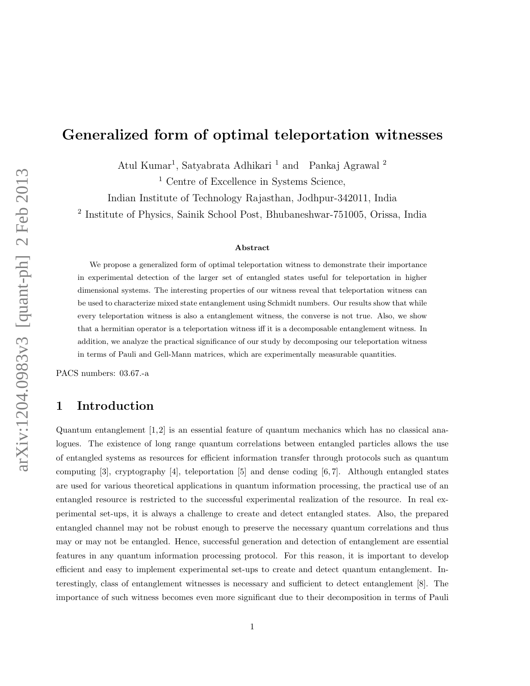# Generalized form of optimal teleportation witnesses

Atul Kumar<sup>1</sup>, Satyabrata Adhikari <sup>1</sup> and Pankaj Agrawal<sup>2</sup>

<sup>1</sup> Centre of Excellence in Systems Science,

Indian Institute of Technology Rajasthan, Jodhpur-342011, India

2 Institute of Physics, Sainik School Post, Bhubaneshwar-751005, Orissa, India

#### Abstract

We propose a generalized form of optimal teleportation witness to demonstrate their importance in experimental detection of the larger set of entangled states useful for teleportation in higher dimensional systems. The interesting properties of our witness reveal that teleportation witness can be used to characterize mixed state entanglement using Schmidt numbers. Our results show that while every teleportation witness is also a entanglement witness, the converse is not true. Also, we show that a hermitian operator is a teleportation witness iff it is a decomposable entanglement witness. In addition, we analyze the practical significance of our study by decomposing our teleportation witness in terms of Pauli and Gell-Mann matrices, which are experimentally measurable quantities.

PACS numbers: 03.67.-a

#### 1 Introduction

Quantum entanglement [1,2] is an essential feature of quantum mechanics which has no classical analogues. The existence of long range quantum correlations between entangled particles allows the use of entangled systems as resources for efficient information transfer through protocols such as quantum computing  $|3|$ , cryptography  $|4|$ , teleportation  $|5|$  and dense coding  $|6, 7|$ . Although entangled states are used for various theoretical applications in quantum information processing, the practical use of an entangled resource is restricted to the successful experimental realization of the resource. In real experimental set-ups, it is always a challenge to create and detect entangled states. Also, the prepared entangled channel may not be robust enough to preserve the necessary quantum correlations and thus may or may not be entangled. Hence, successful generation and detection of entanglement are essential features in any quantum information processing protocol. For this reason, it is important to develop efficient and easy to implement experimental set-ups to create and detect quantum entanglement. Interestingly, class of entanglement witnesses is necessary and sufficient to detect entanglement [8]. The importance of such witness becomes even more significant due to their decomposition in terms of Pauli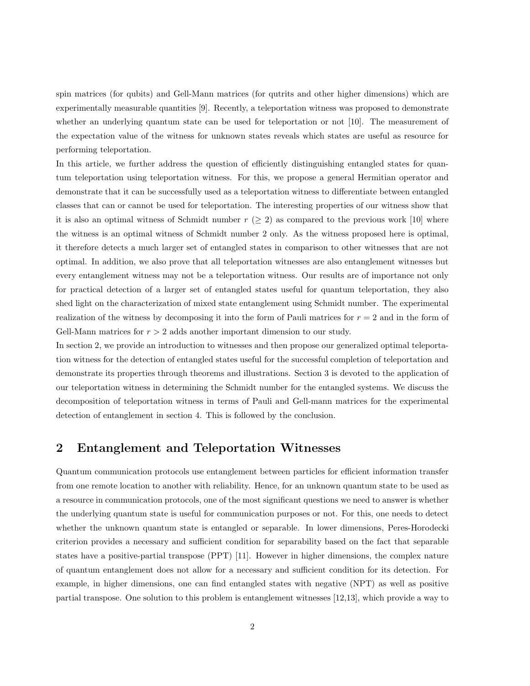spin matrices (for qubits) and Gell-Mann matrices (for qutrits and other higher dimensions) which are experimentally measurable quantities [9]. Recently, a teleportation witness was proposed to demonstrate whether an underlying quantum state can be used for teleportation or not [10]. The measurement of the expectation value of the witness for unknown states reveals which states are useful as resource for performing teleportation.

In this article, we further address the question of efficiently distinguishing entangled states for quantum teleportation using teleportation witness. For this, we propose a general Hermitian operator and demonstrate that it can be successfully used as a teleportation witness to differentiate between entangled classes that can or cannot be used for teleportation. The interesting properties of our witness show that it is also an optimal witness of Schmidt number  $r \geq 2$ ) as compared to the previous work [10] where the witness is an optimal witness of Schmidt number 2 only. As the witness proposed here is optimal, it therefore detects a much larger set of entangled states in comparison to other witnesses that are not optimal. In addition, we also prove that all teleportation witnesses are also entanglement witnesses but every entanglement witness may not be a teleportation witness. Our results are of importance not only for practical detection of a larger set of entangled states useful for quantum teleportation, they also shed light on the characterization of mixed state entanglement using Schmidt number. The experimental realization of the witness by decomposing it into the form of Pauli matrices for  $r = 2$  and in the form of Gell-Mann matrices for  $r > 2$  adds another important dimension to our study.

In section 2, we provide an introduction to witnesses and then propose our generalized optimal teleportation witness for the detection of entangled states useful for the successful completion of teleportation and demonstrate its properties through theorems and illustrations. Section 3 is devoted to the application of our teleportation witness in determining the Schmidt number for the entangled systems. We discuss the decomposition of teleportation witness in terms of Pauli and Gell-mann matrices for the experimental detection of entanglement in section 4. This is followed by the conclusion.

#### 2 Entanglement and Teleportation Witnesses

Quantum communication protocols use entanglement between particles for efficient information transfer from one remote location to another with reliability. Hence, for an unknown quantum state to be used as a resource in communication protocols, one of the most significant questions we need to answer is whether the underlying quantum state is useful for communication purposes or not. For this, one needs to detect whether the unknown quantum state is entangled or separable. In lower dimensions, Peres-Horodecki criterion provides a necessary and sufficient condition for separability based on the fact that separable states have a positive-partial transpose (PPT) [11]. However in higher dimensions, the complex nature of quantum entanglement does not allow for a necessary and sufficient condition for its detection. For example, in higher dimensions, one can find entangled states with negative (NPT) as well as positive partial transpose. One solution to this problem is entanglement witnesses [12,13], which provide a way to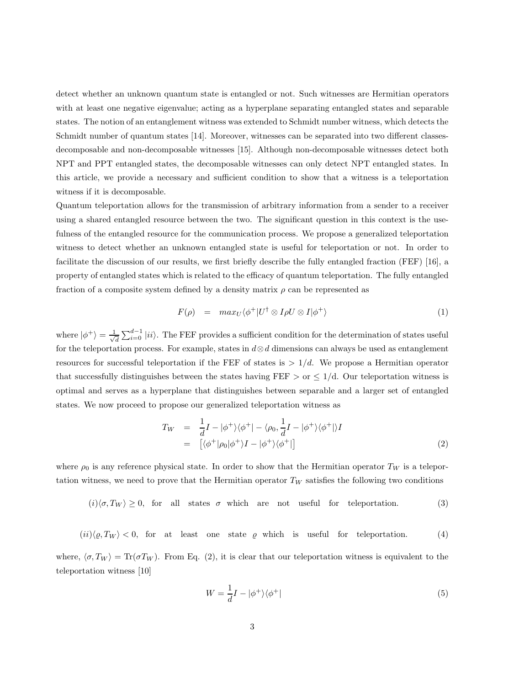detect whether an unknown quantum state is entangled or not. Such witnesses are Hermitian operators with at least one negative eigenvalue; acting as a hyperplane separating entangled states and separable states. The notion of an entanglement witness was extended to Schmidt number witness, which detects the Schmidt number of quantum states [14]. Moreover, witnesses can be separated into two different classesdecomposable and non-decomposable witnesses [15]. Although non-decomposable witnesses detect both NPT and PPT entangled states, the decomposable witnesses can only detect NPT entangled states. In this article, we provide a necessary and sufficient condition to show that a witness is a teleportation witness if it is decomposable.

Quantum teleportation allows for the transmission of arbitrary information from a sender to a receiver using a shared entangled resource between the two. The significant question in this context is the usefulness of the entangled resource for the communication process. We propose a generalized teleportation witness to detect whether an unknown entangled state is useful for teleportation or not. In order to facilitate the discussion of our results, we first briefly describe the fully entangled fraction (FEF) [16], a property of entangled states which is related to the efficacy of quantum teleportation. The fully entangled fraction of a composite system defined by a density matrix  $\rho$  can be represented as

$$
F(\rho) = \max_{U} \langle \phi^{+} | U^{\dagger} \otimes I \rho U \otimes I | \phi^{+} \rangle \tag{1}
$$

where  $|\phi^+\rangle = \frac{1}{\sqrt{2}}$  $\frac{1}{d} \sum_{i=0}^{d-1} |ii\rangle$ . The FEF provides a sufficient condition for the determination of states useful for the teleportation process. For example, states in  $d \otimes d$  dimensions can always be used as entanglement resources for successful teleportation if the FEF of states is  $> 1/d$ . We propose a Hermitian operator that successfully distinguishes between the states having FEF  $>$  or  $\leq$  1/d. Our teleportation witness is optimal and serves as a hyperplane that distinguishes between separable and a larger set of entangled states. We now proceed to propose our generalized teleportation witness as

$$
T_W = \frac{1}{d}I - |\phi^+\rangle\langle\phi^+| - \langle\rho_0, \frac{1}{d}I - |\phi^+\rangle\langle\phi^+|\rangle I
$$
  
= 
$$
[\langle\phi^+|\rho_0|\phi^+\rangle I - |\phi^+\rangle\langle\phi^+|\]
$$
 (2)

where  $\rho_0$  is any reference physical state. In order to show that the Hermitian operator  $T_W$  is a teleportation witness, we need to prove that the Hermitian operator  $T_W$  satisfies the following two conditions

$$
(i) \langle \sigma, T_W \rangle \ge 0, \text{ for all states } \sigma \text{ which are not useful for teleportation.} \tag{3}
$$

 $(ii)\langle \varrho, T_W \rangle < 0$ , for at least one state  $\varrho$  which is useful for teleportation. (4)

where,  $\langle \sigma, T_W \rangle = \text{Tr}(\sigma T_W)$ . From Eq. (2), it is clear that our teleportation witness is equivalent to the teleportation witness [10]

$$
W = \frac{1}{d}I - |\phi^+\rangle\langle\phi^+|\tag{5}
$$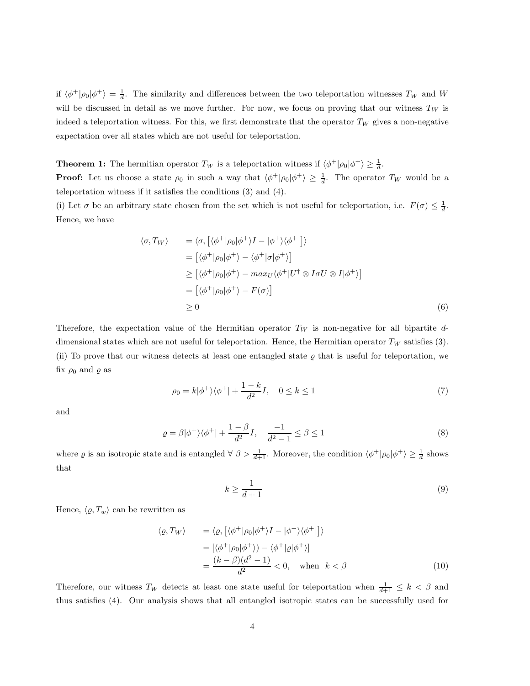if  $\langle \phi^+|\rho_0|\phi^+\rangle = \frac{1}{d}$ . The similarity and differences between the two teleportation witnesses  $T_W$  and W will be discussed in detail as we move further. For now, we focus on proving that our witness  $T_W$  is indeed a teleportation witness. For this, we first demonstrate that the operator  $T_W$  gives a non-negative expectation over all states which are not useful for teleportation.

**Theorem 1:** The hermitian operator  $T_W$  is a teleportation witness if  $\langle \phi^+ | \rho_0 | \phi^+ \rangle \geq \frac{1}{d}$ .

**Proof:** Let us choose a state  $\rho_0$  in such a way that  $\langle \phi^+| \rho_0 | \phi^+ \rangle \geq \frac{1}{d}$ . The operator  $T_W$  would be a teleportation witness if it satisfies the conditions (3) and (4).

(i) Let  $\sigma$  be an arbitrary state chosen from the set which is not useful for teleportation, i.e.  $F(\sigma) \leq \frac{1}{d}$ . Hence, we have

$$
\langle \sigma, T_W \rangle = \langle \sigma, \left[ \langle \phi^+ | \rho_0 | \phi^+ \rangle I - | \phi^+ \rangle \langle \phi^+ | \right] \rangle
$$
  
\n
$$
= \left[ \langle \phi^+ | \rho_0 | \phi^+ \rangle - \langle \phi^+ | \sigma | \phi^+ \rangle \right]
$$
  
\n
$$
\geq \left[ \langle \phi^+ | \rho_0 | \phi^+ \rangle - \max_U \langle \phi^+ | U^\dagger \otimes I \sigma U \otimes I | \phi^+ \rangle \right]
$$
  
\n
$$
= \left[ \langle \phi^+ | \rho_0 | \phi^+ \rangle - F(\sigma) \right]
$$
  
\n
$$
\geq 0
$$
 (6)

Therefore, the expectation value of the Hermitian operator  $T_W$  is non-negative for all bipartite ddimensional states which are not useful for teleportation. Hence, the Hermitian operator  $T_W$  satisfies (3). (ii) To prove that our witness detects at least one entangled state  $\varrho$  that is useful for teleportation, we fix  $\rho_0$  and  $\rho$  as

$$
\rho_0 = k|\phi^+\rangle\langle\phi^+| + \frac{1-k}{d^2}I, \quad 0 \le k \le 1
$$
\n<sup>(7)</sup>

and

$$
\varrho = \beta |\phi^+\rangle\langle\phi^+| + \frac{1-\beta}{d^2}I, \quad \frac{-1}{d^2 - 1} \le \beta \le 1
$$
\n<sup>(8)</sup>

where  $\varrho$  is an isotropic state and is entangled  $\forall \beta > \frac{1}{d+1}$ . Moreover, the condition  $\langle \phi^+ | \rho_0 | \phi^+ \rangle \ge \frac{1}{d}$  shows that

$$
k \ge \frac{1}{d+1} \tag{9}
$$

Hence,  $\langle \varrho, T_w \rangle$  can be rewritten as

$$
\langle \varrho, T_W \rangle = \langle \varrho, \left[ \langle \phi^+ | \rho_0 | \phi^+ \rangle I - | \phi^+ \rangle \langle \phi^+ | \right] \rangle
$$
  
\n
$$
= \left[ \langle \phi^+ | \rho_0 | \phi^+ \rangle \right] - \langle \phi^+ | \varrho | \phi^+ \rangle
$$
  
\n
$$
= \frac{(k - \beta)(d^2 - 1)}{d^2} < 0, \quad \text{when} \quad k < \beta
$$
 (10)

Therefore, our witness  $T_W$  detects at least one state useful for teleportation when  $\frac{1}{d+1} \leq k < \beta$  and thus satisfies (4). Our analysis shows that all entangled isotropic states can be successfully used for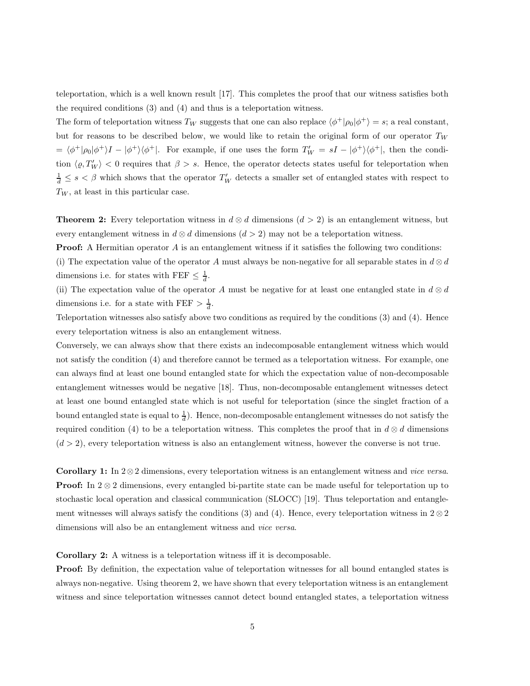teleportation, which is a well known result [17]. This completes the proof that our witness satisfies both the required conditions (3) and (4) and thus is a teleportation witness.

The form of teleportation witness  $T_W$  suggests that one can also replace  $\langle \phi^+|\rho_0|\phi^+\rangle = s$ ; a real constant, but for reasons to be described below, we would like to retain the original form of our operator  $T_W$  $= \langle \phi^+|\rho_0|\phi^+\rangle I - |\phi^+\rangle\langle \phi^+|$ . For example, if one uses the form  $T_W' = sI - |\phi^+\rangle\langle \phi^+|$ , then the condition  $\langle \varrho, T'_W \rangle < 0$  requires that  $\beta > s$ . Hence, the operator detects states useful for teleportation when  $\frac{1}{d} \leq s < \beta$  which shows that the operator  $T'_W$  detects a smaller set of entangled states with respect to  $T_W$ , at least in this particular case.

**Theorem 2:** Every teleportation witness in  $d \otimes d$  dimensions  $(d > 2)$  is an entanglement witness, but every entanglement witness in  $d \otimes d$  dimensions  $(d > 2)$  may not be a teleportation witness.

**Proof:** A Hermitian operator  $A$  is an entanglement witness if it satisfies the following two conditions:

(i) The expectation value of the operator A must always be non-negative for all separable states in  $d \otimes d$ dimensions i.e. for states with FEF  $\leq \frac{1}{d}$ .

(ii) The expectation value of the operator A must be negative for at least one entangled state in  $d \otimes d$ dimensions i.e. for a state with FEF  $> \frac{1}{d}$ .

Teleportation witnesses also satisfy above two conditions as required by the conditions (3) and (4). Hence every teleportation witness is also an entanglement witness.

Conversely, we can always show that there exists an indecomposable entanglement witness which would not satisfy the condition (4) and therefore cannot be termed as a teleportation witness. For example, one can always find at least one bound entangled state for which the expectation value of non-decomposable entanglement witnesses would be negative [18]. Thus, non-decomposable entanglement witnesses detect at least one bound entangled state which is not useful for teleportation (since the singlet fraction of a bound entangled state is equal to  $\frac{1}{d}$ . Hence, non-decomposable entanglement witnesses do not satisfy the required condition (4) to be a teleportation witness. This completes the proof that in  $d \otimes d$  dimensions  $(d > 2)$ , every teleportation witness is also an entanglement witness, however the converse is not true.

Corollary 1: In  $2 \otimes 2$  dimensions, every teleportation witness is an entanglement witness and *vice versa*. **Proof:** In  $2 \otimes 2$  dimensions, every entangled bi-partite state can be made useful for teleportation up to stochastic local operation and classical communication (SLOCC) [19]. Thus teleportation and entanglement witnesses will always satisfy the conditions (3) and (4). Hence, every teleportation witness in  $2 \otimes 2$ dimensions will also be an entanglement witness and *vice versa*.

Corollary 2: A witness is a teleportation witness iff it is decomposable.

**Proof:** By definition, the expectation value of teleportation witnesses for all bound entangled states is always non-negative. Using theorem 2, we have shown that every teleportation witness is an entanglement witness and since teleportation witnesses cannot detect bound entangled states, a teleportation witness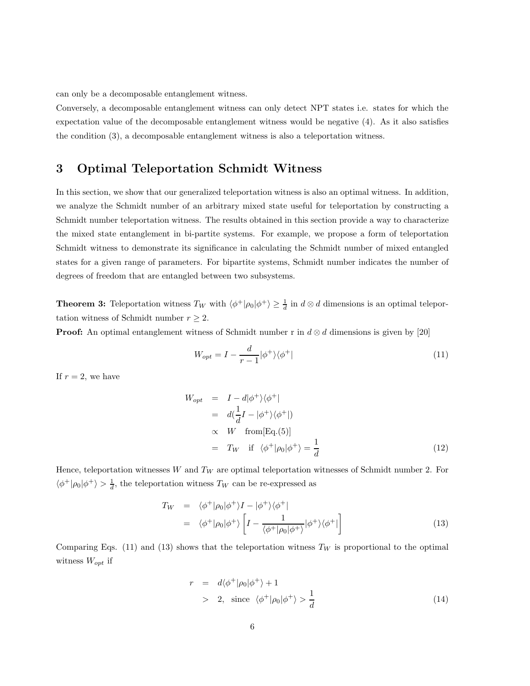can only be a decomposable entanglement witness.

Conversely, a decomposable entanglement witness can only detect NPT states i.e. states for which the expectation value of the decomposable entanglement witness would be negative (4). As it also satisfies the condition (3), a decomposable entanglement witness is also a teleportation witness.

### 3 Optimal Teleportation Schmidt Witness

In this section, we show that our generalized teleportation witness is also an optimal witness. In addition, we analyze the Schmidt number of an arbitrary mixed state useful for teleportation by constructing a Schmidt number teleportation witness. The results obtained in this section provide a way to characterize the mixed state entanglement in bi-partite systems. For example, we propose a form of teleportation Schmidt witness to demonstrate its significance in calculating the Schmidt number of mixed entangled states for a given range of parameters. For bipartite systems, Schmidt number indicates the number of degrees of freedom that are entangled between two subsystems.

**Theorem 3:** Teleportation witness  $T_W$  with  $\langle \phi^+|\rho_0|\phi^+\rangle \geq \frac{1}{d}$  in  $d \otimes d$  dimensions is an optimal teleportation witness of Schmidt number  $r \geq 2$ .

**Proof:** An optimal entanglement witness of Schmidt number r in  $d \otimes d$  dimensions is given by [20]

$$
W_{opt} = I - \frac{d}{r - 1} |\phi^+\rangle\langle\phi^+|\tag{11}
$$

If  $r = 2$ , we have

$$
W_{opt} = I - d|\phi^{+}\rangle\langle\phi^{+}|
$$
  
\n
$$
= d(\frac{1}{d}I - |\phi^{+}\rangle\langle\phi^{+}|)
$$
  
\n
$$
\propto W \quad \text{from}[\text{Eq.}(5)]
$$
  
\n
$$
= T_W \quad \text{if } \langle\phi^{+}|\rho_{0}|\phi^{+}\rangle = \frac{1}{d}
$$
\n(12)

Hence, teleportation witnesses W and  $T_W$  are optimal teleportation witnesses of Schmidt number 2. For  $\langle \phi^+| \rho_0 | \phi^+ \rangle > \frac{1}{d}$ , the teleportation witness  $T_W$  can be re-expressed as

$$
T_W = \langle \phi^+ | \rho_0 | \phi^+ \rangle I - | \phi^+ \rangle \langle \phi^+ |
$$
  
=  $\langle \phi^+ | \rho_0 | \phi^+ \rangle \left[ I - \frac{1}{\langle \phi^+ | \rho_0 | \phi^+ \rangle} | \phi^+ \rangle \langle \phi^+ | \right]$  (13)

Comparing Eqs. (11) and (13) shows that the teleportation witness  $T_W$  is proportional to the optimal witness  $W_{opt}$  if

$$
r = d\langle \phi^+ | \rho_0 | \phi^+ \rangle + 1
$$
  
> 2, since  $\langle \phi^+ | \rho_0 | \phi^+ \rangle > \frac{1}{d}$  (14)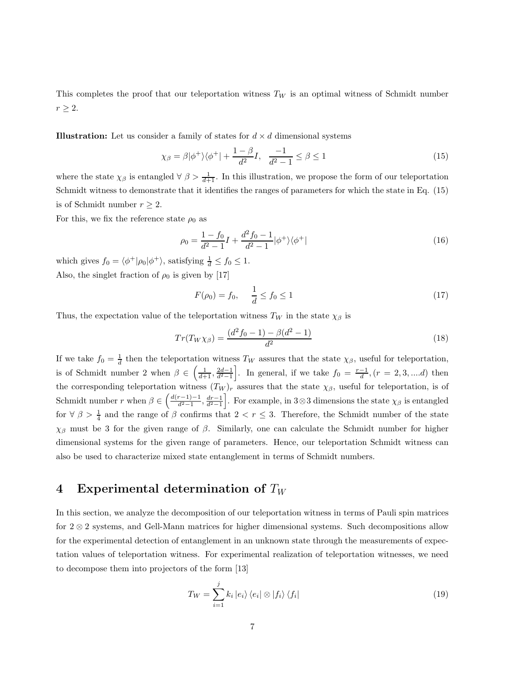This completes the proof that our teleportation witness  $T_W$  is an optimal witness of Schmidt number  $r \geq 2$ .

**Illustration:** Let us consider a family of states for  $d \times d$  dimensional systems

$$
\chi_{\beta} = \beta |\phi^+\rangle\langle\phi^+| + \frac{1-\beta}{d^2}I, \quad \frac{-1}{d^2 - 1} \le \beta \le 1 \tag{15}
$$

where the state  $\chi_{\beta}$  is entangled  $\forall \beta > \frac{1}{d+1}$ . In this illustration, we propose the form of our teleportation Schmidt witness to demonstrate that it identifies the ranges of parameters for which the state in Eq. (15) is of Schmidt number  $r \geq 2$ .

For this, we fix the reference state  $\rho_0$  as

$$
\rho_0 = \frac{1 - f_0}{d^2 - 1} I + \frac{d^2 f_0 - 1}{d^2 - 1} |\phi^+\rangle\langle\phi^+| \tag{16}
$$

which gives  $f_0 = \langle \phi^+ | \rho_0 | \phi^+ \rangle$ , satisfying  $\frac{1}{d} \le f_0 \le 1$ . Also, the singlet fraction of  $\rho_0$  is given by [17]

$$
F(\rho_0) = f_0, \quad \frac{1}{d} \le f_0 \le 1 \tag{17}
$$

Thus, the expectation value of the teleportation witness  $T_W$  in the state  $\chi_\beta$  is

$$
Tr(T_{W}\chi_{\beta}) = \frac{(d^2f_0 - 1) - \beta(d^2 - 1)}{d^2}
$$
\n(18)

If we take  $f_0 = \frac{1}{d}$  then the teleportation witness  $T_W$  assures that the state  $\chi_\beta$ , useful for teleportation, is of Schmidt number 2 when  $\beta \in \left(\frac{1}{d+1}, \frac{2d-1}{d^2-1}\right]$ . In general, if we take  $f_0 = \frac{r-1}{d}$ ,  $(r = 2, 3, \dots d)$  then the corresponding teleportation witness  $(T_W)_r$  assures that the state  $\chi_{\beta}$ , useful for teleportation, is of Schmidt number r when  $\beta \in \left(\frac{d(r-1)-1}{d^2-1}, \frac{dr-1}{d^2-1}\right]$ . For example, in 3⊗3 dimensions the state  $\chi_\beta$  is entangled for  $\forall \beta > \frac{1}{4}$  and the range of  $\beta$  confirms that  $2 < r \leq 3$ . Therefore, the Schmidt number of the state χ<sup>β</sup> must be 3 for the given range of β. Similarly, one can calculate the Schmidt number for higher dimensional systems for the given range of parameters. Hence, our teleportation Schmidt witness can also be used to characterize mixed state entanglement in terms of Schmidt numbers.

#### 4 Experimental determination of  $T_W$

In this section, we analyze the decomposition of our teleportation witness in terms of Pauli spin matrices for 2 ⊗ 2 systems, and Gell-Mann matrices for higher dimensional systems. Such decompositions allow for the experimental detection of entanglement in an unknown state through the measurements of expectation values of teleportation witness. For experimental realization of teleportation witnesses, we need to decompose them into projectors of the form [13]

$$
T_W = \sum_{i=1}^{j} k_i |e_i\rangle \langle e_i| \otimes |f_i\rangle \langle f_i|
$$
\n(19)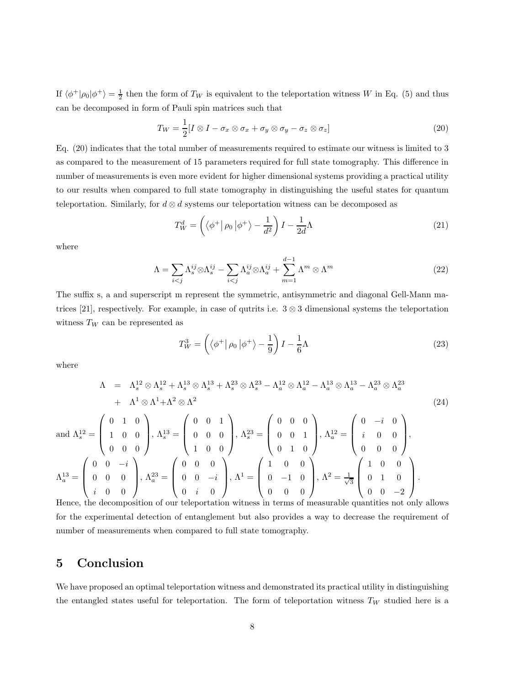If  $\langle \phi^+|\rho_0|\phi^+\rangle = \frac{1}{2}$  then the form of  $T_W$  is equivalent to the teleportation witness W in Eq. (5) and thus can be decomposed in form of Pauli spin matrices such that

$$
T_W = \frac{1}{2} [I \otimes I - \sigma_x \otimes \sigma_x + \sigma_y \otimes \sigma_y - \sigma_z \otimes \sigma_z]
$$
 (20)

Eq. (20) indicates that the total number of measurements required to estimate our witness is limited to 3 as compared to the measurement of 15 parameters required for full state tomography. This difference in number of measurements is even more evident for higher dimensional systems providing a practical utility to our results when compared to full state tomography in distinguishing the useful states for quantum teleportation. Similarly, for  $d \otimes d$  systems our teleportation witness can be decomposed as

$$
T_W^d = \left( \left\langle \phi^+ \right| \rho_0 \left| \phi^+ \right\rangle - \frac{1}{d^2} \right) I - \frac{1}{2d} \Lambda \tag{21}
$$

where

$$
\Lambda = \sum_{i < j} \Lambda_s^{ij} \otimes \Lambda_s^{ij} - \sum_{i < j} \Lambda_a^{ij} \otimes \Lambda_a^{ij} + \sum_{m=1}^{d-1} \Lambda^m \otimes \Lambda^m \tag{22}
$$

The suffix s, a and superscript m represent the symmetric, antisymmetric and diagonal Gell-Mann matrices [21], respectively. For example, in case of qutrits i.e.  $3 \otimes 3$  dimensional systems the teleportation witness  $T_W$  can be represented as

$$
T_W^3 = \left(\left\langle \phi^+ \right| \rho_0 \left| \phi^+ \right\rangle - \frac{1}{9} \right) I - \frac{1}{6} \Lambda \tag{23}
$$

where

and

$$
\Lambda = \Lambda_s^{12} \otimes \Lambda_s^{12} + \Lambda_s^{13} \otimes \Lambda_s^{13} + \Lambda_s^{23} \otimes \Lambda_s^{23} - \Lambda_a^{12} \otimes \Lambda_a^{12} - \Lambda_a^{13} \otimes \Lambda_a^{13} - \Lambda_a^{23} \otimes \Lambda_a^{23} \n+ \Lambda^1 \otimes \Lambda^1 + \Lambda^2 \otimes \Lambda^2
$$
\n
$$
\text{and } \Lambda_s^{12} = \begin{pmatrix} 0 & 1 & 0 \\ 1 & 0 & 0 \\ 0 & 0 & 0 \end{pmatrix}, \Lambda_s^{13} = \begin{pmatrix} 0 & 0 & 1 \\ 0 & 0 & 0 \\ 1 & 0 & 0 \end{pmatrix}, \Lambda_s^{23} = \begin{pmatrix} 0 & 0 & 0 \\ 0 & 0 & 1 \\ 0 & 1 & 0 \end{pmatrix}, \Lambda_a^{12} = \begin{pmatrix} 0 & -i & 0 \\ i & 0 & 0 \\ 0 & 0 & 0 \end{pmatrix},
$$
\n
$$
\Lambda_a^{13} = \begin{pmatrix} 0 & 0 & -i \\ 0 & 0 & 0 \\ i & 0 & 0 \end{pmatrix}, \Lambda_a^{23} = \begin{pmatrix} 0 & 0 & 0 \\ 0 & 0 & -i \\ 0 & i & 0 \end{pmatrix}, \Lambda^1 = \begin{pmatrix} 1 & 0 & 0 \\ 0 & -1 & 0 \\ 0 & 0 & 0 \end{pmatrix}, \Lambda^2 = \frac{1}{\sqrt{3}} \begin{pmatrix} 1 & 0 & 0 \\ 0 & 1 & 0 \\ 0 & 0 & -2 \end{pmatrix}.
$$
\n(24)

Hence, the decomposition of our teleportation witness in terms of measurable quantities not only allows for the experimental detection of entanglement but also provides a way to decrease the requirement of number of measurements when compared to full state tomography.

## 5 Conclusion

We have proposed an optimal teleportation witness and demonstrated its practical utility in distinguishing the entangled states useful for teleportation. The form of teleportation witness  $T_W$  studied here is a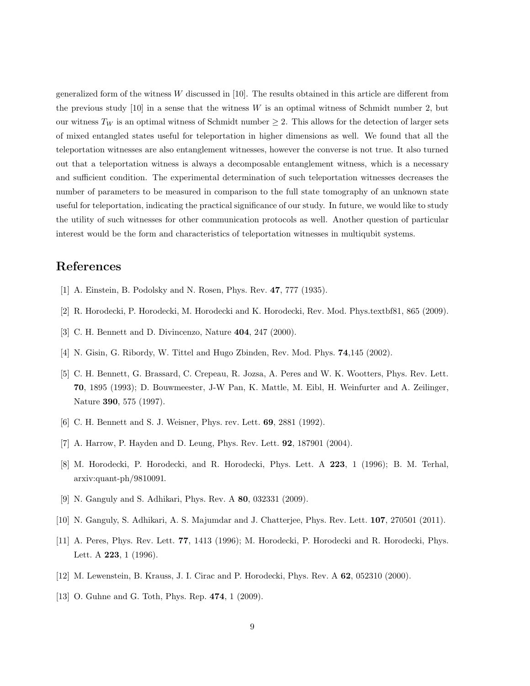generalized form of the witness W discussed in [10]. The results obtained in this article are different from the previous study [10] in a sense that the witness W is an optimal witness of Schmidt number 2, but our witness  $T_W$  is an optimal witness of Schmidt number  $\geq 2$ . This allows for the detection of larger sets of mixed entangled states useful for teleportation in higher dimensions as well. We found that all the teleportation witnesses are also entanglement witnesses, however the converse is not true. It also turned out that a teleportation witness is always a decomposable entanglement witness, which is a necessary and sufficient condition. The experimental determination of such teleportation witnesses decreases the number of parameters to be measured in comparison to the full state tomography of an unknown state useful for teleportation, indicating the practical significance of our study. In future, we would like to study the utility of such witnesses for other communication protocols as well. Another question of particular interest would be the form and characteristics of teleportation witnesses in multiqubit systems.

# References

- [1] A. Einstein, B. Podolsky and N. Rosen, Phys. Rev. 47, 777 (1935).
- [2] R. Horodecki, P. Horodecki, M. Horodecki and K. Horodecki, Rev. Mod. Phys.textbf81, 865 (2009).
- [3] C. H. Bennett and D. Divincenzo, Nature **404**, 247 (2000).
- [4] N. Gisin, G. Ribordy, W. Tittel and Hugo Zbinden, Rev. Mod. Phys. 74,145 (2002).
- [5] C. H. Bennett, G. Brassard, C. Crepeau, R. Jozsa, A. Peres and W. K. Wootters, Phys. Rev. Lett. 70, 1895 (1993); D. Bouwmeester, J-W Pan, K. Mattle, M. Eibl, H. Weinfurter and A. Zeilinger, Nature 390, 575 (1997).
- [6] C. H. Bennett and S. J. Weisner, Phys. rev. Lett. 69, 2881 (1992).
- [7] A. Harrow, P. Hayden and D. Leung, Phys. Rev. Lett. 92, 187901 (2004).
- [8] M. Horodecki, P. Horodecki, and R. Horodecki, Phys. Lett. A 223, 1 (1996); B. M. Terhal, arxiv:quant-ph/9810091.
- [9] N. Ganguly and S. Adhikari, Phys. Rev. A 80, 032331 (2009).
- [10] N. Ganguly, S. Adhikari, A. S. Majumdar and J. Chatterjee, Phys. Rev. Lett. 107, 270501 (2011).
- [11] A. Peres, Phys. Rev. Lett. 77, 1413 (1996); M. Horodecki, P. Horodecki and R. Horodecki, Phys. Lett. A **223**, 1 (1996).
- [12] M. Lewenstein, B. Krauss, J. I. Cirac and P. Horodecki, Phys. Rev. A 62, 052310 (2000).
- [13] O. Guhne and G. Toth, Phys. Rep. 474, 1 (2009).